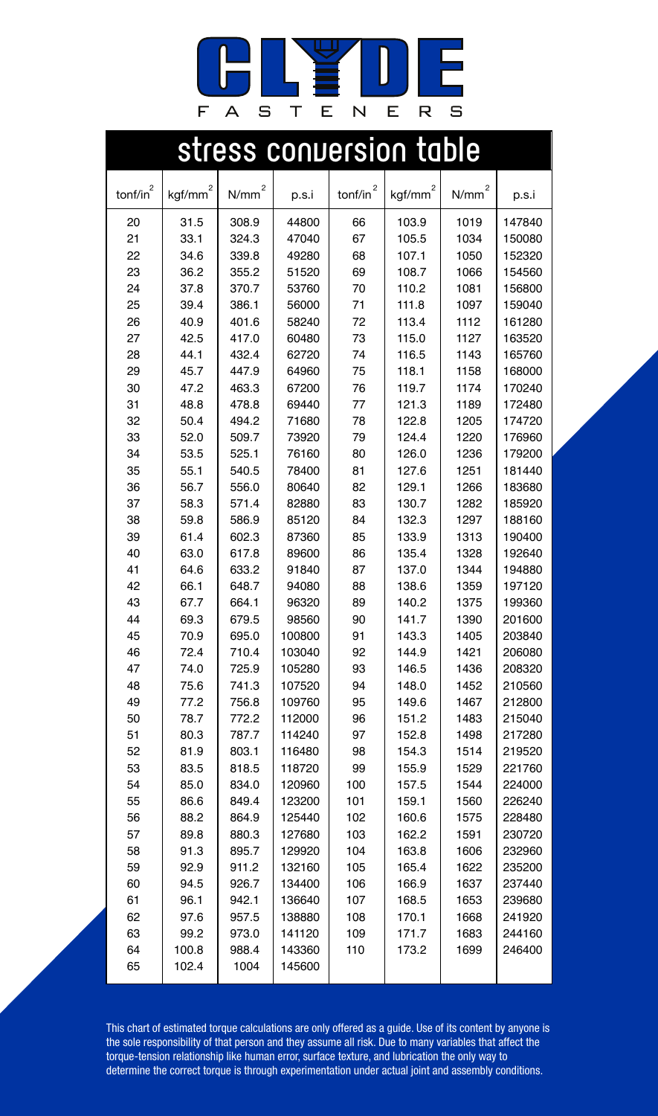

|                    |                     |                   |                  |              | stress conversion table |                   |                  |
|--------------------|---------------------|-------------------|------------------|--------------|-------------------------|-------------------|------------------|
| $\text{tonf/in}^2$ | kgf/mm <sup>2</sup> | N/mm <sup>2</sup> | p.s.i            | tonf/in $^2$ | kgf/mm <sup>2</sup>     | N/mm <sup>2</sup> | p.s.i            |
| 20                 | 31.5                | 308.9             | 44800            | 66           | 103.9                   | 1019              | 147840           |
| 21                 | 33.1                | 324.3             | 47040            | 67           | 105.5                   | 1034              | 150080           |
| 22                 | 34.6                | 339.8             | 49280            | 68           | 107.1                   | 1050              | 152320           |
| 23                 | 36.2                | 355.2             | 51520            | 69           | 108.7                   | 1066              | 154560           |
| 24                 | 37.8                | 370.7             | 53760            | 70           | 110.2                   | 1081              | 156800           |
| 25                 | 39.4                | 386.1             | 56000            | 71           | 111.8                   | 1097              | 159040           |
| 26                 | 40.9                | 401.6             | 58240            | 72           | 113.4                   | 1112              | 161280           |
| 27                 | 42.5                | 417.0             | 60480            | 73           | 115.0                   | 1127              | 163520           |
| 28                 | 44.1                | 432.4             | 62720            | 74           | 116.5                   | 1143              | 165760           |
| 29                 | 45.7                | 447.9             | 64960            | 75           | 118.1                   | 1158              | 168000           |
| 30                 | 47.2                | 463.3             | 67200            | 76           | 119.7                   | 1174              | 170240           |
| 31                 | 48.8                | 478.8             | 69440            | 77           | 121.3                   | 1189              | 172480           |
| 32                 | 50.4                | 494.2             | 71680            | 78           | 122.8                   | 1205              | 174720           |
| 33                 | 52.0                | 509.7             | 73920            | 79           | 124.4                   | 1220              | 176960           |
| 34                 | 53.5                | 525.1             | 76160            | 80           | 126.0                   | 1236              | 179200           |
| 35                 | 55.1                | 540.5             | 78400            | 81           | 127.6                   | 1251              | 181440           |
| 36                 | 56.7                | 556.0             | 80640            | 82           | 129.1                   | 1266              | 183680           |
| 37                 | 58.3                | 571.4             | 82880            | 83           | 130.7                   | 1282              | 185920           |
| 38                 | 59.8                | 586.9             | 85120            | 84           | 132.3                   | 1297              | 188160           |
| 39                 | 61.4                | 602.3             | 87360            | 85           | 133.9                   | 1313              | 190400           |
| 40                 | 63.0                | 617.8             | 89600            | 86           | 135.4                   | 1328              | 192640           |
| 41                 | 64.6                | 633.2             | 91840            | 87           | 137.0                   | 1344              | 194880           |
| 42                 | 66.1                | 648.7             | 94080            | 88           | 138.6                   | 1359              | 197120           |
| 43                 | 67.7                | 664.1             | 96320            | 89           | 140.2                   | 1375              | 199360           |
| 44                 | 69.3                | 679.5             | 98560            | 90           | 141.7                   | 1390              | 201600           |
| 45                 | 70.9                | 695.0             | 100800           | 91           | 143.3                   | 1405              | 203840           |
| 46                 | 72.4                | 710.4             | 103040           | 92           | 144.9                   | 1421              | 206080           |
| 47                 | 74.0                | 725.9             | 105280           | 93           | 146.5                   | 1436              | 208320           |
| 48                 | 75.6                | 741.3             | 107520           | 94           | 148.0                   | 1452              | 210560           |
| 49                 | 77.2                | 756.8             | 109760           | 95           | 149.6                   | 1467              | 212800           |
| 50                 | 78.7                | 772.2             | 112000           | 96           | 151.2                   | 1483              | 215040           |
| 51<br>52           | 80.3<br>81.9        | 787.7<br>803.1    | 114240<br>116480 | 97<br>98     | 152.8<br>154.3          | 1498<br>1514      | 217280<br>219520 |
| 53                 | 83.5                | 818.5             | 118720           | 99           | 155.9                   | 1529              | 221760           |
| 54                 | 85.0                | 834.0             | 120960           | 100          | 157.5                   | 1544              | 224000           |
| 55                 | 86.6                | 849.4             | 123200           | 101          | 159.1                   | 1560              | 226240           |
| 56                 | 88.2                | 864.9             | 125440           | 102          | 160.6                   | 1575              | 228480           |
| 57                 | 89.8                | 880.3             | 127680           | 103          | 162.2                   | 1591              | 230720           |
| 58                 | 91.3                | 895.7             | 129920           | 104          | 163.8                   | 1606              | 232960           |
| 59                 | 92.9                | 911.2             | 132160           | 105          | 165.4                   | 1622              | 235200           |
| 60                 | 94.5                | 926.7             | 134400           | 106          | 166.9                   | 1637              | 237440           |
| 61                 | 96.1                | 942.1             | 136640           | 107          | 168.5                   | 1653              | 239680           |
| 62                 | 97.6                | 957.5             | 138880           | 108          | 170.1                   | 1668              | 241920           |
| 63                 | 99.2                | 973.0             | 141120           | 109          | 171.7                   | 1683              | 244160           |
| 64                 | 100.8               | 988.4             | 143360           | 110          | 173.2                   | 1699              | 246400           |
| 65                 | 102.4               | 1004              | 145600           |              |                         |                   |                  |
|                    |                     |                   |                  |              |                         |                   |                  |

This chart of estimated torque calculations are only offered as a guide. Use of its content by anyone is<br>the sole responsibility of that person and they assume all risk. Due to many variables that affect the<br>torque-tension